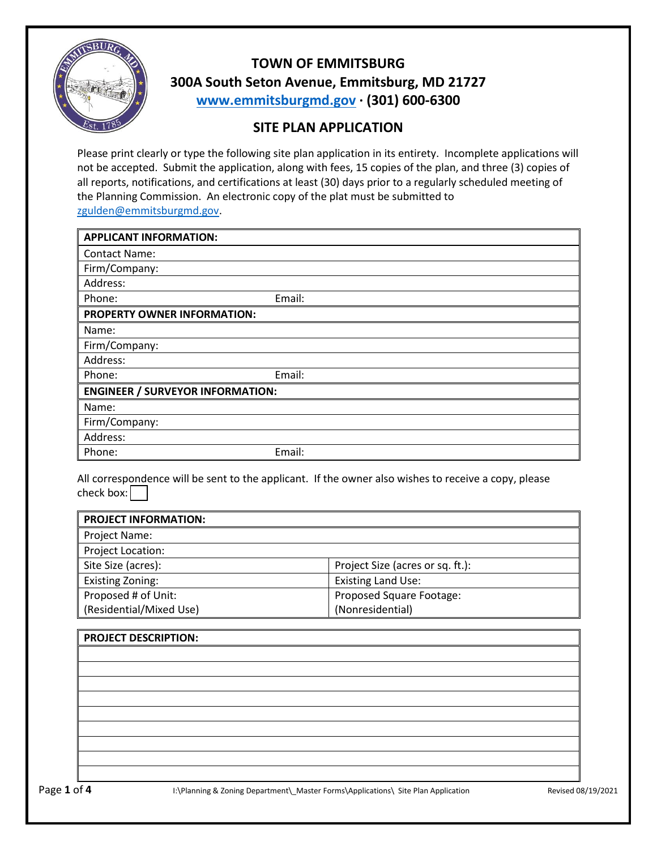

## **TOWN OF EMMITSBURG 300A South Seton Avenue, Emmitsburg, MD 21727 [www.emmitsburgmd.gov](http://www.emmitsburgmd.gov/) · (301) 600-6300**

## **SITE PLAN APPLICATION**

Please print clearly or type the following site plan application in its entirety. Incomplete applications will not be accepted. Submit the application, along with fees, 15 copies of the plan, and three (3) copies of all reports, notifications, and certifications at least (30) days prior to a regularly scheduled meeting of the Planning Commission. An electronic copy of the plat must be submitted to [zgulden@emmitsburgmd.gov.](mailto:zgulden@emmitsburgmd.gov)

| <b>APPLICANT INFORMATION:</b>           |        |
|-----------------------------------------|--------|
| <b>Contact Name:</b>                    |        |
| Firm/Company:                           |        |
| Address:                                |        |
| Phone:                                  | Email: |
| PROPERTY OWNER INFORMATION:             |        |
| Name:                                   |        |
| Firm/Company:                           |        |
| Address:                                |        |
| Phone:                                  | Email: |
| <b>ENGINEER / SURVEYOR INFORMATION:</b> |        |
| Name:                                   |        |
| Firm/Company:                           |        |
| Address:                                |        |
| Phone:                                  | Email: |

All correspondence will be sent to the applicant. If the owner also wishes to receive a copy, please check box: $\boxed{\phantom{a}}$ 

| <b>PROJECT INFORMATION:</b> |                                  |
|-----------------------------|----------------------------------|
| Project Name:               |                                  |
| Project Location:           |                                  |
| Site Size (acres):          | Project Size (acres or sq. ft.): |
| <b>Existing Zoning:</b>     | <b>Existing Land Use:</b>        |
| Proposed # of Unit:         | Proposed Square Footage:         |
| (Residential/Mixed Use)     | (Nonresidential)                 |

|             | <b>PROJECT DESCRIPTION:</b>                                                       |                    |
|-------------|-----------------------------------------------------------------------------------|--------------------|
|             |                                                                                   |                    |
|             |                                                                                   |                    |
|             |                                                                                   |                    |
|             |                                                                                   |                    |
|             |                                                                                   |                    |
|             |                                                                                   |                    |
|             |                                                                                   |                    |
|             |                                                                                   |                    |
|             |                                                                                   |                    |
| Page 1 of 4 | I:\Planning & Zoning Department\_Master Forms\Applications\ Site Plan Application | Revised 08/19/2021 |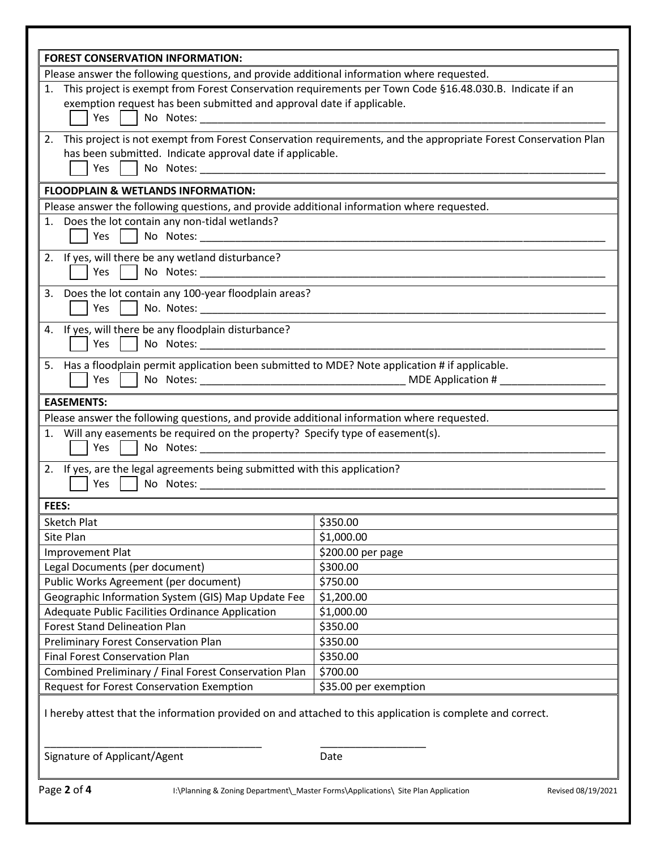| <b>FOREST CONSERVATION INFORMATION:</b>                                                                                                                                                                  |                                                                                                                   |  |  |
|----------------------------------------------------------------------------------------------------------------------------------------------------------------------------------------------------------|-------------------------------------------------------------------------------------------------------------------|--|--|
|                                                                                                                                                                                                          |                                                                                                                   |  |  |
| Please answer the following questions, and provide additional information where requested.<br>1. This project is exempt from Forest Conservation requirements per Town Code §16.48.030.B. Indicate if an |                                                                                                                   |  |  |
| exemption request has been submitted and approval date if applicable.                                                                                                                                    |                                                                                                                   |  |  |
| Yes                                                                                                                                                                                                      |                                                                                                                   |  |  |
|                                                                                                                                                                                                          |                                                                                                                   |  |  |
|                                                                                                                                                                                                          | 2. This project is not exempt from Forest Conservation requirements, and the appropriate Forest Conservation Plan |  |  |
| has been submitted. Indicate approval date if applicable.                                                                                                                                                |                                                                                                                   |  |  |
| Yes                                                                                                                                                                                                      |                                                                                                                   |  |  |
| <b>FLOODPLAIN &amp; WETLANDS INFORMATION:</b>                                                                                                                                                            |                                                                                                                   |  |  |
| Please answer the following questions, and provide additional information where requested.                                                                                                               |                                                                                                                   |  |  |
| 1. Does the lot contain any non-tidal wetlands?                                                                                                                                                          |                                                                                                                   |  |  |
|                                                                                                                                                                                                          |                                                                                                                   |  |  |
| 2. If yes, will there be any wetland disturbance?                                                                                                                                                        |                                                                                                                   |  |  |
| No Notes: No Notes:<br>Yes                                                                                                                                                                               |                                                                                                                   |  |  |
|                                                                                                                                                                                                          |                                                                                                                   |  |  |
| 3. Does the lot contain any 100-year floodplain areas?                                                                                                                                                   |                                                                                                                   |  |  |
| Yes                                                                                                                                                                                                      |                                                                                                                   |  |  |
| 4. If yes, will there be any floodplain disturbance?                                                                                                                                                     |                                                                                                                   |  |  |
| Yes                                                                                                                                                                                                      |                                                                                                                   |  |  |
| 5. Has a floodplain permit application been submitted to MDE? Note application # if applicable.                                                                                                          |                                                                                                                   |  |  |
| Yes                                                                                                                                                                                                      |                                                                                                                   |  |  |
|                                                                                                                                                                                                          |                                                                                                                   |  |  |
| <b>EASEMENTS:</b>                                                                                                                                                                                        |                                                                                                                   |  |  |
| Please answer the following questions, and provide additional information where requested.                                                                                                               |                                                                                                                   |  |  |
| 1. Will any easements be required on the property? Specify type of easement(s).<br>Yes                                                                                                                   |                                                                                                                   |  |  |
| 2. If yes, are the legal agreements being submitted with this application?                                                                                                                               |                                                                                                                   |  |  |
| Yes                                                                                                                                                                                                      |                                                                                                                   |  |  |
| FEES:                                                                                                                                                                                                    |                                                                                                                   |  |  |
| Sketch Plat                                                                                                                                                                                              | 5350.00                                                                                                           |  |  |
| Site Plan                                                                                                                                                                                                | \$1,000.00                                                                                                        |  |  |
| Improvement Plat                                                                                                                                                                                         | \$200.00 per page                                                                                                 |  |  |
| Legal Documents (per document)                                                                                                                                                                           | \$300.00                                                                                                          |  |  |
| Public Works Agreement (per document)                                                                                                                                                                    | \$750.00                                                                                                          |  |  |
| Geographic Information System (GIS) Map Update Fee                                                                                                                                                       | \$1,200.00                                                                                                        |  |  |
| Adequate Public Facilities Ordinance Application                                                                                                                                                         | \$1,000.00                                                                                                        |  |  |
| <b>Forest Stand Delineation Plan</b>                                                                                                                                                                     | \$350.00                                                                                                          |  |  |
| <b>Preliminary Forest Conservation Plan</b>                                                                                                                                                              | \$350.00                                                                                                          |  |  |
| <b>Final Forest Conservation Plan</b>                                                                                                                                                                    | \$350.00                                                                                                          |  |  |
| Combined Preliminary / Final Forest Conservation Plan                                                                                                                                                    | \$700.00                                                                                                          |  |  |
| <b>Request for Forest Conservation Exemption</b>                                                                                                                                                         | \$35.00 per exemption                                                                                             |  |  |
|                                                                                                                                                                                                          |                                                                                                                   |  |  |
| I hereby attest that the information provided on and attached to this application is complete and correct.                                                                                               |                                                                                                                   |  |  |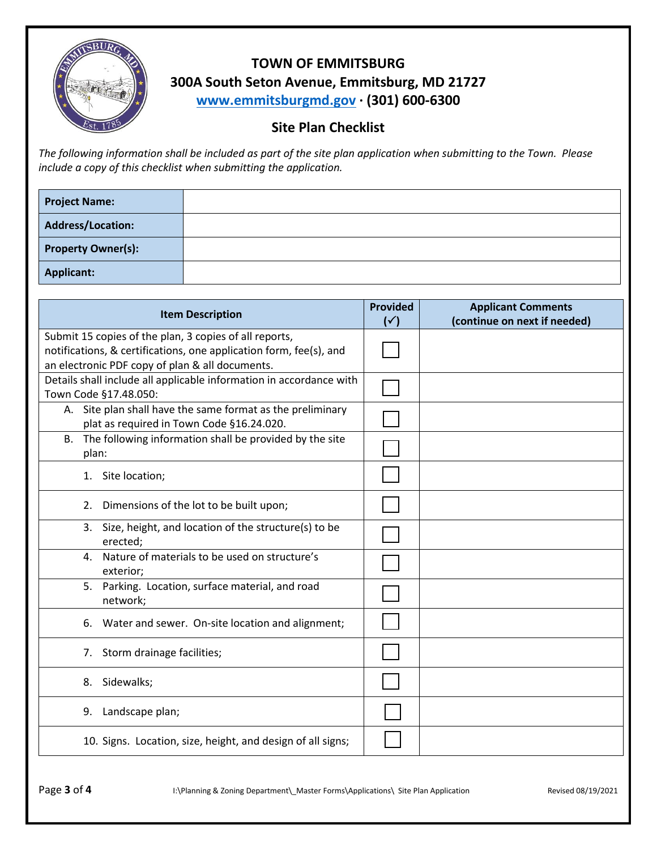

## **TOWN OF EMMITSBURG 300A South Seton Avenue, Emmitsburg, MD 21727 [www.emmitsburgmd.gov](http://www.emmitsburgmd.gov/) · (301) 600-6300**

## **Site Plan Checklist**

*The following information shall be included as part of the site plan application when submitting to the Town. Please include a copy of this checklist when submitting the application.* 

| <b>Project Name:</b>      |  |
|---------------------------|--|
| Address/Location:         |  |
| <b>Property Owner(s):</b> |  |
| Applicant:                |  |

| <b>Item Description</b>                                                                                                |  | <b>Applicant Comments</b><br>(continue on next if needed) |
|------------------------------------------------------------------------------------------------------------------------|--|-----------------------------------------------------------|
| Submit 15 copies of the plan, 3 copies of all reports,                                                                 |  |                                                           |
| notifications, & certifications, one application form, fee(s), and                                                     |  |                                                           |
| an electronic PDF copy of plan & all documents.<br>Details shall include all applicable information in accordance with |  |                                                           |
| Town Code §17.48.050:                                                                                                  |  |                                                           |
| A. Site plan shall have the same format as the preliminary                                                             |  |                                                           |
| plat as required in Town Code §16.24.020.                                                                              |  |                                                           |
| The following information shall be provided by the site<br>В.                                                          |  |                                                           |
| plan:                                                                                                                  |  |                                                           |
| 1. Site location;                                                                                                      |  |                                                           |
| Dimensions of the lot to be built upon;<br>2.                                                                          |  |                                                           |
| 3. Size, height, and location of the structure(s) to be<br>erected;                                                    |  |                                                           |
| Nature of materials to be used on structure's<br>$\mathbf{4}$ .<br>exterior;                                           |  |                                                           |
| 5. Parking. Location, surface material, and road<br>network;                                                           |  |                                                           |
| Water and sewer. On-site location and alignment;<br>6.                                                                 |  |                                                           |
| Storm drainage facilities;<br>7.                                                                                       |  |                                                           |
| Sidewalks;<br>8.                                                                                                       |  |                                                           |
| Landscape plan;<br>9.                                                                                                  |  |                                                           |
| 10. Signs. Location, size, height, and design of all signs;                                                            |  |                                                           |